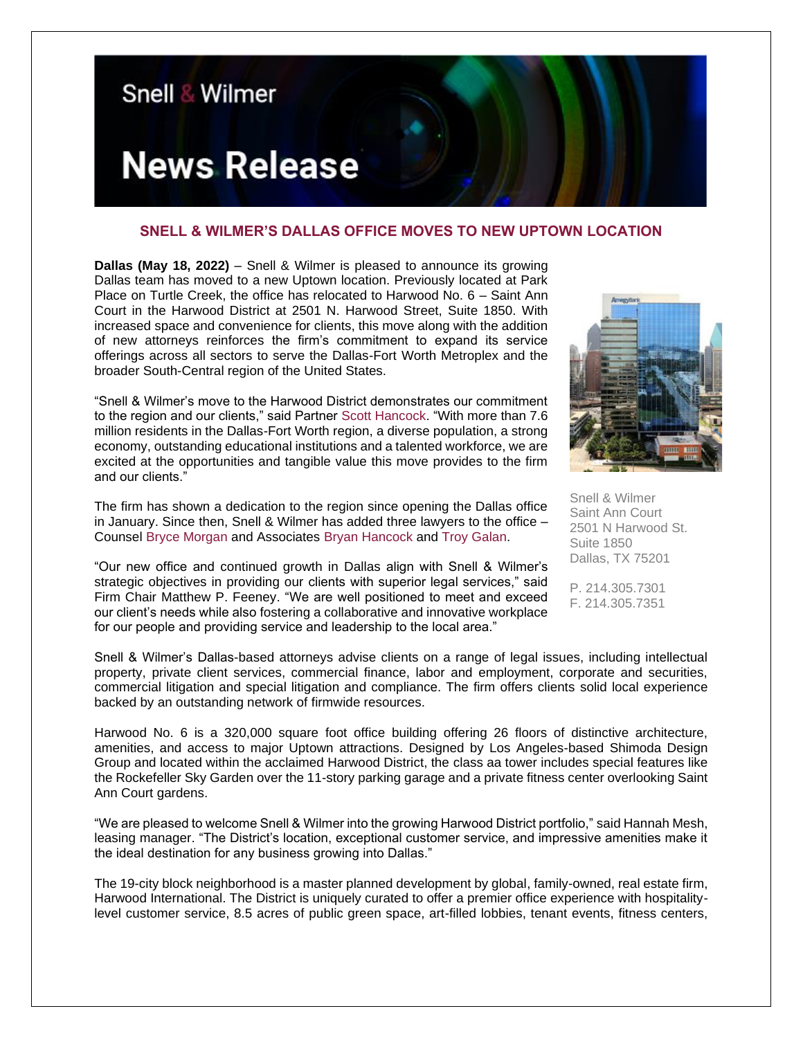

## **SNELL & WILMER'S DALLAS OFFICE MOVES TO NEW UPTOWN LOCATION**

**Dallas (May 18, 2022)** – Snell & Wilmer is pleased to announce its growing Dallas team has moved to a new Uptown location. Previously located at Park Place on Turtle Creek, the office has relocated to Harwood No. 6 – Saint Ann Court in the Harwood District at 2501 N. Harwood Street, Suite 1850. With increased space and convenience for clients, this move along with the addition of new attorneys reinforces the firm's commitment to expand its service offerings across all sectors to serve the Dallas-Fort Worth Metroplex and the broader South-Central region of the United States.

"Snell & Wilmer's move to the Harwood District demonstrates our commitment to the region and our clients," said Partner [Scott Hancock.](https://www.swlaw.com/people/Scott_Hancock) "With more than 7.6 million residents in the Dallas-Fort Worth region, a diverse population, a strong economy, outstanding educational institutions and a talented workforce, we are excited at the opportunities and tangible value this move provides to the firm and our clients."

The firm has shown a dedication to the region since opening the Dallas office in January. Since then, Snell & Wilmer has added three lawyers to the office – Counsel [Bryce Morgan](https://www.swlaw.com/people/bryce_morgan) and Associates [Bryan Hancock](https://www.swlaw.com/people/bryan_hancock) and [Troy Galan.](https://www.swlaw.com/people/troy_galan)

"Our new office and continued growth in Dallas align with Snell & Wilmer's strategic objectives in providing our clients with superior legal services," said Firm Chair Matthew P. Feeney. "We are well positioned to meet and exceed our client's needs while also fostering a collaborative and innovative workplace for our people and providing service and leadership to the local area."



Snell & Wilmer Saint Ann Court 2501 N Harwood St. Suite 1850 Dallas, TX 75201

P. 214.305.7301 F. 214.305.7351

Snell & Wilmer's Dallas-based attorneys advise clients on a range of legal issues, including intellectual property, private client services, commercial finance, labor and employment, corporate and securities, commercial litigation and special litigation and compliance. The firm offers clients solid local experience backed by an outstanding network of firmwide resources.

Harwood No. 6 is a 320,000 square foot office building offering 26 floors of distinctive architecture, amenities, and access to major Uptown attractions. Designed by Los Angeles-based Shimoda Design Group and located within the acclaimed Harwood District, the class aa tower includes special features like the Rockefeller Sky Garden over the 11-story parking garage and a private fitness center overlooking Saint Ann Court gardens.

"We are pleased to welcome Snell & Wilmer into the growing Harwood District portfolio," said Hannah Mesh, leasing manager. "The District's location, exceptional customer service, and impressive amenities make it the ideal destination for any business growing into Dallas."

The 19-city block neighborhood is a master planned development by global, family-owned, real estate firm, Harwood International. The District is uniquely curated to offer a premier office experience with hospitalitylevel customer service, 8.5 acres of public green space, art-filled lobbies, tenant events, fitness centers,